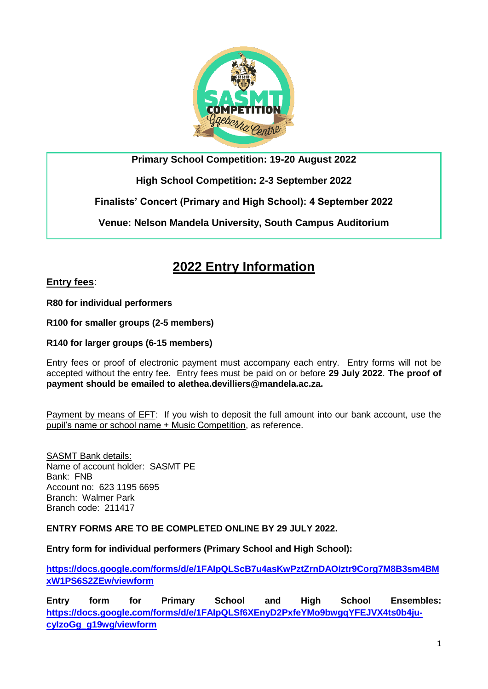

**Primary School Competition: 19-20 August 2022**

**High School Competition: 2-3 September 2022**

**Finalists' Concert (Primary and High School): 4 September 2022**

**Venue: Nelson Mandela University, South Campus Auditorium**

## **2022 Entry Information**

**Entry fees**:

**R80 for individual performers**

**R100 for smaller groups (2-5 members)**

**R140 for larger groups (6-15 members)**

Entry fees or proof of electronic payment must accompany each entry. Entry forms will not be accepted without the entry fee. Entry fees must be paid on or before **29 July 2022**. **The proof of payment should be emailed to alethea.devilliers@mandela.ac.za.**

Payment by means of EFT: If you wish to deposit the full amount into our bank account, use the pupil's name or school name + Music Competition, as reference.

**SASMT Bank details:** Name of account holder: SASMT PE Bank: FNB Account no: 623 1195 6695 Branch: Walmer Park Branch code: 211417

**ENTRY FORMS ARE TO BE COMPLETED ONLINE BY 29 JULY 2022.**

**Entry form for individual performers (Primary School and High School):** 

**[https://docs.google.com/forms/d/e/1FAIpQLScB7u4asKwPztZrnDAOIztr9Corg7M8B3sm4BM](https://docs.google.com/forms/d/e/1FAIpQLScB7u4asKwPztZrnDAOIztr9Corg7M8B3sm4BMxW1PS6S2ZEw/viewform) [xW1PS6S2ZEw/viewform](https://docs.google.com/forms/d/e/1FAIpQLScB7u4asKwPztZrnDAOIztr9Corg7M8B3sm4BMxW1PS6S2ZEw/viewform)**

**Entry form for Primary School and High School Ensembles: [https://docs.google.com/forms/d/e/1FAIpQLSf6XEnyD2PxfeYMo9bwgqYFEJVX4ts0b4ju](https://docs.google.com/forms/d/e/1FAIpQLSf6XEnyD2PxfeYMo9bwgqYFEJVX4ts0b4ju-cyIzoGg_g19wg/viewform)[cyIzoGg\\_g19wg/viewform](https://docs.google.com/forms/d/e/1FAIpQLSf6XEnyD2PxfeYMo9bwgqYFEJVX4ts0b4ju-cyIzoGg_g19wg/viewform)**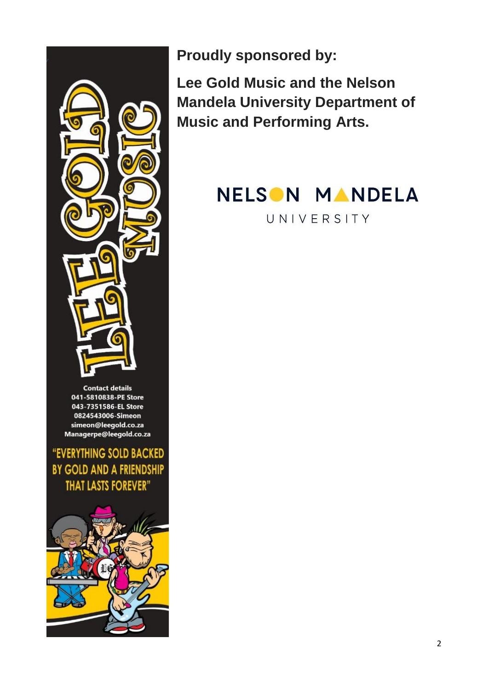

**Contact details** 041-5810838-PE Store 043-7351586-EL Store 0824543006-Simeon simeon@leegold.co.za Managerpe@leegold.co.za

"EVERYTHING SOLD BACKED BY GOLD AND A FRIENDSHIP **THAT LASTS FOREVER"** 



**Proudly sponsored by:**

**Lee Gold Music and the Nelson Mandela University Department of Music and Performing Arts.**

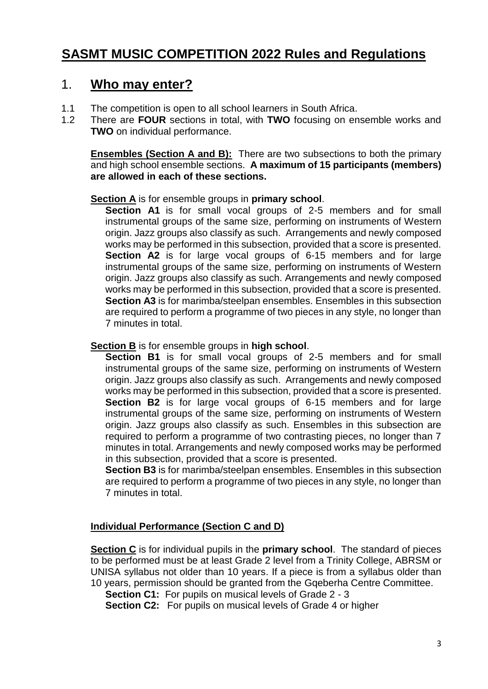## **SASMT MUSIC COMPETITION 2022 Rules and Regulations**

### 1. **Who may enter?**

- 1.1 The competition is open to all school learners in South Africa.
- 1.2 There are **FOUR** sections in total, with **TWO** focusing on ensemble works and **TWO** on individual performance.

**Ensembles (Section A and B):** There are two subsections to both the primary and high school ensemble sections. **A maximum of 15 participants (members) are allowed in each of these sections.** 

### **Section A** is for ensemble groups in **primary school**.

**Section A1** is for small vocal groups of 2-5 members and for small instrumental groups of the same size, performing on instruments of Western origin. Jazz groups also classify as such. Arrangements and newly composed works may be performed in this subsection, provided that a score is presented. **Section A2** is for large vocal groups of 6-15 members and for large instrumental groups of the same size, performing on instruments of Western origin. Jazz groups also classify as such. Arrangements and newly composed works may be performed in this subsection, provided that a score is presented. **Section A3** is for marimba/steelpan ensembles. Ensembles in this subsection are required to perform a programme of two pieces in any style, no longer than 7 minutes in total.

### **Section B** is for ensemble groups in **high school**.

**Section B1** is for small vocal groups of 2-5 members and for small instrumental groups of the same size, performing on instruments of Western origin. Jazz groups also classify as such. Arrangements and newly composed works may be performed in this subsection, provided that a score is presented. **Section B2** is for large vocal groups of 6-15 members and for large instrumental groups of the same size, performing on instruments of Western origin. Jazz groups also classify as such. Ensembles in this subsection are required to perform a programme of two contrasting pieces, no longer than 7 minutes in total. Arrangements and newly composed works may be performed in this subsection, provided that a score is presented.

**Section B3** is for marimba/steelpan ensembles. Ensembles in this subsection are required to perform a programme of two pieces in any style, no longer than 7 minutes in total.

### **Individual Performance (Section C and D)**

**Section C** is for individual pupils in the **primary school**. The standard of pieces to be performed must be at least Grade 2 level from a Trinity College, ABRSM or UNISA syllabus not older than 10 years. If a piece is from a syllabus older than 10 years, permission should be granted from the Gqeberha Centre Committee.

**Section C1:** For pupils on musical levels of Grade 2 - 3

**Section C2:** For pupils on musical levels of Grade 4 or higher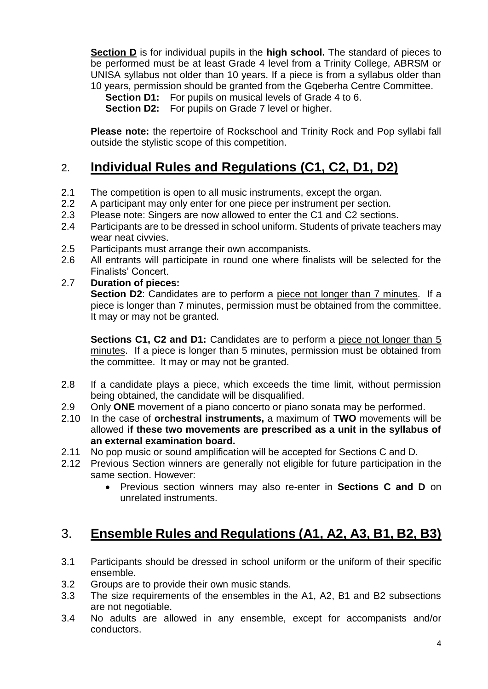**Section D** is for individual pupils in the **high school.** The standard of pieces to be performed must be at least Grade 4 level from a Trinity College, ABRSM or UNISA syllabus not older than 10 years. If a piece is from a syllabus older than 10 years, permission should be granted from the Gqeberha Centre Committee.

**Section D1:** For pupils on musical levels of Grade 4 to 6.

**Section D2:** For pupils on Grade 7 level or higher.

**Please note:** the repertoire of Rockschool and Trinity Rock and Pop syllabi fall outside the stylistic scope of this competition.

## 2. **Individual Rules and Regulations (C1, C2, D1, D2)**

- 2.1 The competition is open to all music instruments, except the organ.
- 2.2 A participant may only enter for one piece per instrument per section.
- 2.3 Please note: Singers are now allowed to enter the C1 and C2 sections.
- 2.4 Participants are to be dressed in school uniform. Students of private teachers may wear neat civvies.
- 2.5 Participants must arrange their own accompanists.
- 2.6 All entrants will participate in round one where finalists will be selected for the Finalists' Concert.
- 2.7 **Duration of pieces:**

**Section D2**: Candidates are to perform a piece not longer than 7 minutes. If a piece is longer than 7 minutes, permission must be obtained from the committee. It may or may not be granted.

**Sections C1, C2 and D1:** Candidates are to perform a piece not longer than 5 minutes. If a piece is longer than 5 minutes, permission must be obtained from the committee. It may or may not be granted.

- 2.8 If a candidate plays a piece, which exceeds the time limit, without permission being obtained, the candidate will be disqualified.
- 2.9 Only **ONE** movement of a piano concerto or piano sonata may be performed.
- 2.10 In the case of **orchestral instruments,** a maximum of **TWO** movements will be allowed **if these two movements are prescribed as a unit in the syllabus of an external examination board.**
- 2.11 No pop music or sound amplification will be accepted for Sections C and D.
- 2.12 Previous Section winners are generally not eligible for future participation in the same section. However:
	- Previous section winners may also re-enter in **Sections C and D** on unrelated instruments.

# 3. **Ensemble Rules and Regulations (A1, A2, A3, B1, B2, B3)**

- 3.1 Participants should be dressed in school uniform or the uniform of their specific ensemble.
- 3.2 Groups are to provide their own music stands.
- 3.3 The size requirements of the ensembles in the A1, A2, B1 and B2 subsections are not negotiable.
- 3.4 No adults are allowed in any ensemble, except for accompanists and/or conductors.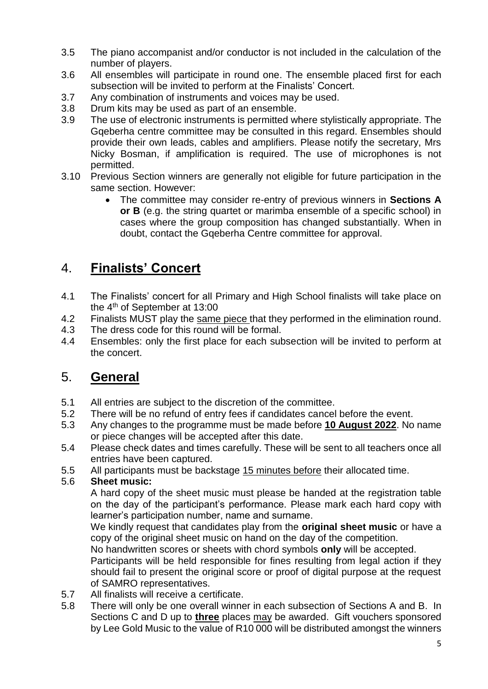- 3.5 The piano accompanist and/or conductor is not included in the calculation of the number of players.
- 3.6 All ensembles will participate in round one. The ensemble placed first for each subsection will be invited to perform at the Finalists' Concert.
- 3.7 Any combination of instruments and voices may be used.
- 3.8 Drum kits may be used as part of an ensemble.
- 3.9 The use of electronic instruments is permitted where stylistically appropriate. The Gqeberha centre committee may be consulted in this regard. Ensembles should provide their own leads, cables and amplifiers. Please notify the secretary, Mrs Nicky Bosman, if amplification is required. The use of microphones is not permitted.
- 3.10 Previous Section winners are generally not eligible for future participation in the same section. However:
	- The committee may consider re-entry of previous winners in **Sections A or B** (e.g. the string quartet or marimba ensemble of a specific school) in cases where the group composition has changed substantially. When in doubt, contact the Gqeberha Centre committee for approval.

## 4. **Finalists' Concert**

- 4.1 The Finalists' concert for all Primary and High School finalists will take place on the 4th of September at 13:00
- 4.2 Finalists MUST play the same piece that they performed in the elimination round.
- 4.3 The dress code for this round will be formal.
- 4.4 Ensembles: only the first place for each subsection will be invited to perform at the concert.

## 5. **General**

- 5.1 All entries are subject to the discretion of the committee.
- 5.2 There will be no refund of entry fees if candidates cancel before the event.
- 5.3 Any changes to the programme must be made before **10 August 2022**. No name or piece changes will be accepted after this date.
- 5.4 Please check dates and times carefully. These will be sent to all teachers once all entries have been captured.
- 5.5 All participants must be backstage 15 minutes before their allocated time.

### 5.6 **Sheet music:**

A hard copy of the sheet music must please be handed at the registration table on the day of the participant's performance. Please mark each hard copy with learner's participation number, name and surname.

We kindly request that candidates play from the **original sheet music** or have a copy of the original sheet music on hand on the day of the competition.

No handwritten scores or sheets with chord symbols **only** will be accepted.

Participants will be held responsible for fines resulting from legal action if they should fail to present the original score or proof of digital purpose at the request of SAMRO representatives.

- 5.7 All finalists will receive a certificate.
- 5.8 There will only be one overall winner in each subsection of Sections A and B. In Sections C and D up to **three** places may be awarded. Gift vouchers sponsored by Lee Gold Music to the value of R10 000 will be distributed amongst the winners